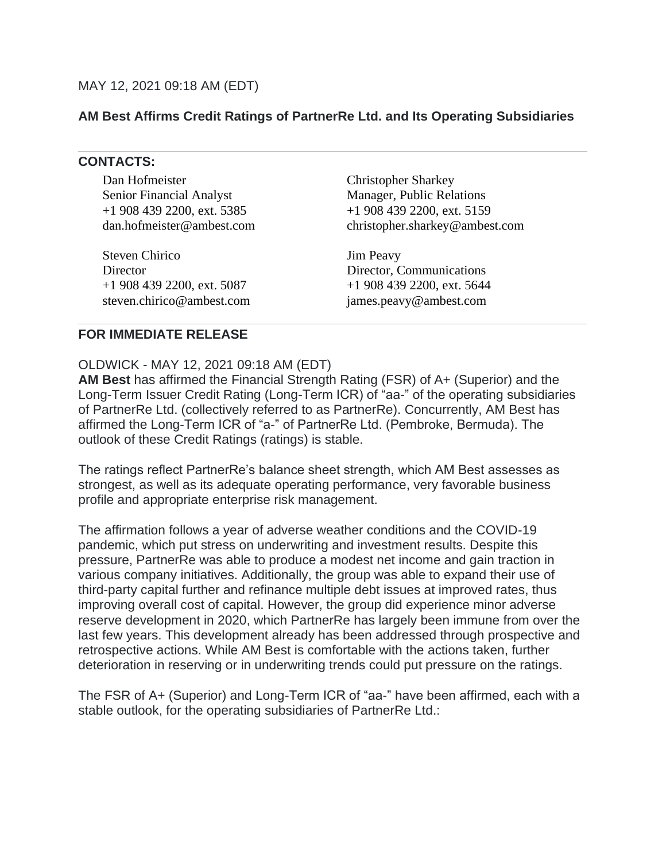## **AM Best Affirms Credit Ratings of PartnerRe Ltd. and Its Operating Subsidiaries**

## **CONTACTS:**

Dan Hofmeister Senior Financial Analyst +1 908 439 2200, ext. 5385 dan.hofmeister@ambest.com

Steven Chirico **Director** +1 908 439 2200, ext. 5087 steven.chirico@ambest.com Christopher Sharkey Manager, Public Relations +1 908 439 2200, ext. 5159 christopher.sharkey@ambest.com

Jim Peavy Director, Communications +1 908 439 2200, ext. 5644 james.peavy@ambest.com

## **FOR IMMEDIATE RELEASE**

OLDWICK - MAY 12, 2021 09:18 AM (EDT)

**AM Best** has affirmed the Financial Strength Rating (FSR) of A+ (Superior) and the Long-Term Issuer Credit Rating (Long-Term ICR) of "aa-" of the operating subsidiaries of PartnerRe Ltd. (collectively referred to as PartnerRe). Concurrently, AM Best has affirmed the Long-Term ICR of "a-" of PartnerRe Ltd. (Pembroke, Bermuda). The outlook of these Credit Ratings (ratings) is stable.

The ratings reflect PartnerRe's balance sheet strength, which AM Best assesses as strongest, as well as its adequate operating performance, very favorable business profile and appropriate enterprise risk management.

The affirmation follows a year of adverse weather conditions and the COVID-19 pandemic, which put stress on underwriting and investment results. Despite this pressure, PartnerRe was able to produce a modest net income and gain traction in various company initiatives. Additionally, the group was able to expand their use of third-party capital further and refinance multiple debt issues at improved rates, thus improving overall cost of capital. However, the group did experience minor adverse reserve development in 2020, which PartnerRe has largely been immune from over the last few years. This development already has been addressed through prospective and retrospective actions. While AM Best is comfortable with the actions taken, further deterioration in reserving or in underwriting trends could put pressure on the ratings.

The FSR of A+ (Superior) and Long-Term ICR of "aa-" have been affirmed, each with a stable outlook, for the operating subsidiaries of PartnerRe Ltd.: